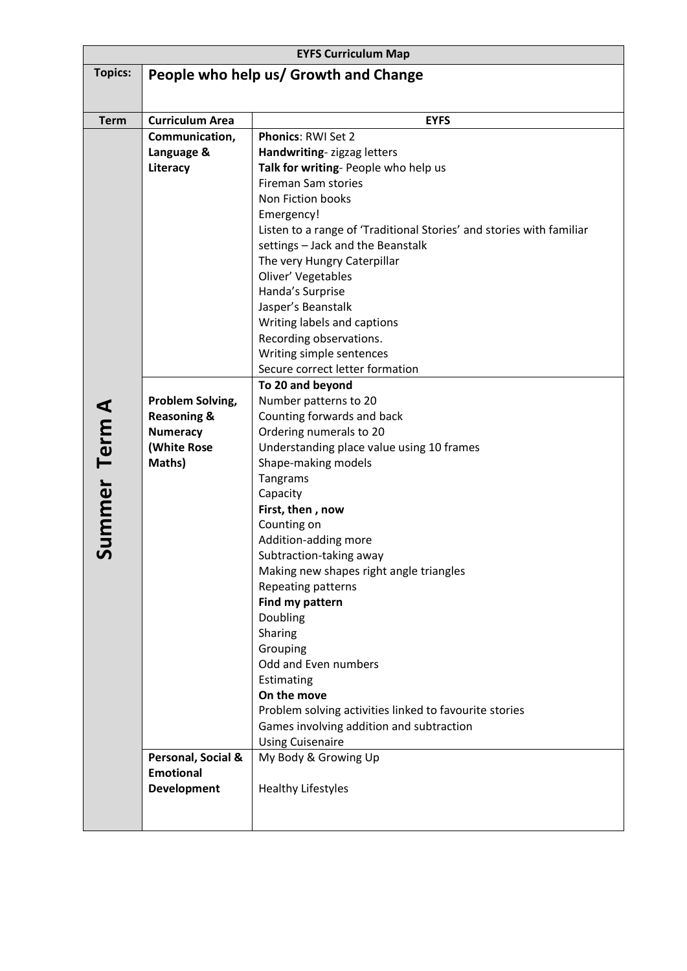| <b>EYFS Curriculum Map</b> |                                        |                                                                      |  |
|----------------------------|----------------------------------------|----------------------------------------------------------------------|--|
| <b>Topics:</b>             | People who help us/ Growth and Change  |                                                                      |  |
|                            |                                        |                                                                      |  |
|                            |                                        |                                                                      |  |
| <b>Term</b>                | <b>Curriculum Area</b>                 | <b>EYFS</b>                                                          |  |
|                            | Communication,                         | <b>Phonics: RWI Set 2</b>                                            |  |
|                            | Language &<br>Literacy                 | Handwriting-zigzag letters<br>Talk for writing- People who help us   |  |
|                            |                                        | <b>Fireman Sam stories</b>                                           |  |
|                            |                                        | Non Fiction books                                                    |  |
|                            |                                        | Emergency!                                                           |  |
|                            |                                        | Listen to a range of 'Traditional Stories' and stories with familiar |  |
|                            |                                        | settings - Jack and the Beanstalk                                    |  |
|                            |                                        | The very Hungry Caterpillar                                          |  |
|                            |                                        | Oliver' Vegetables                                                   |  |
|                            |                                        | Handa's Surprise                                                     |  |
|                            |                                        | Jasper's Beanstalk                                                   |  |
|                            |                                        | Writing labels and captions                                          |  |
|                            |                                        | Recording observations.                                              |  |
|                            |                                        | Writing simple sentences                                             |  |
|                            |                                        | Secure correct letter formation                                      |  |
| Summer<br>Term<br>A        |                                        | To 20 and beyond                                                     |  |
|                            | Problem Solving,                       | Number patterns to 20                                                |  |
|                            | <b>Reasoning &amp;</b>                 | Counting forwards and back                                           |  |
|                            | <b>Numeracy</b>                        | Ordering numerals to 20                                              |  |
|                            | (White Rose                            | Understanding place value using 10 frames                            |  |
|                            | Maths)                                 | Shape-making models                                                  |  |
|                            |                                        | Tangrams                                                             |  |
|                            |                                        | Capacity<br>First, then, now                                         |  |
|                            |                                        | Counting on                                                          |  |
|                            |                                        | Addition-adding more                                                 |  |
|                            |                                        | Subtraction-taking away                                              |  |
|                            |                                        | Making new shapes right angle triangles                              |  |
|                            |                                        | Repeating patterns                                                   |  |
|                            |                                        | Find my pattern                                                      |  |
|                            |                                        | Doubling                                                             |  |
|                            |                                        | Sharing                                                              |  |
|                            |                                        | Grouping                                                             |  |
|                            |                                        | Odd and Even numbers                                                 |  |
|                            |                                        | Estimating                                                           |  |
|                            |                                        | On the move                                                          |  |
|                            |                                        | Problem solving activities linked to favourite stories               |  |
|                            |                                        | Games involving addition and subtraction                             |  |
|                            |                                        | <b>Using Cuisenaire</b>                                              |  |
|                            | Personal, Social &<br><b>Emotional</b> | My Body & Growing Up                                                 |  |
|                            | <b>Development</b>                     | <b>Healthy Lifestyles</b>                                            |  |
|                            |                                        |                                                                      |  |
|                            |                                        |                                                                      |  |
|                            |                                        |                                                                      |  |